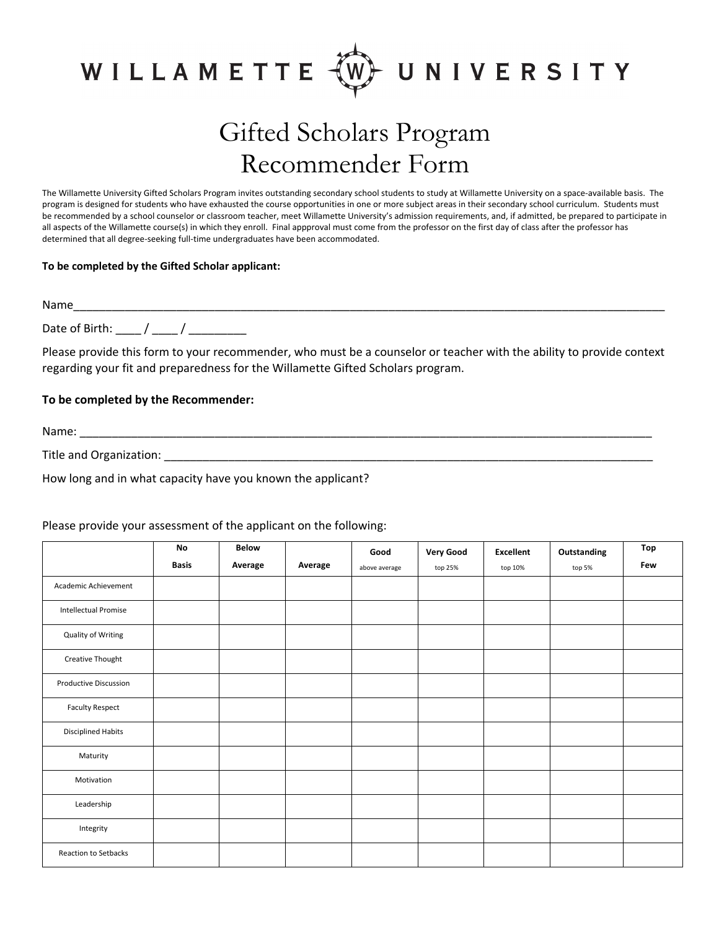

## Gifted Scholars Program Recommender Form

The Willamette University Gifted Scholars Program invites outstanding secondary school students to study at Willamette University on a space‐available basis. The program is designed for students who have exhausted the course opportunities in one or more subject areas in their secondary school curriculum. Students must be recommended by a school counselor or classroom teacher, meet Willamette University's admission requirements, and, if admitted, be prepared to participate in all aspects of the Willamette course(s) in which they enroll. Final appproval must come from the professor on the first day of class after the professor has determined that all degree‐seeking full‐time undergraduates have been accommodated.

## **To be completed by the Gifted Scholar applicant:**

Name\_\_\_\_\_\_\_\_\_\_\_\_\_\_\_\_\_\_\_\_\_\_\_\_\_\_\_\_\_\_\_\_\_\_\_\_\_\_\_\_\_\_\_\_\_\_\_\_\_\_\_\_\_\_\_\_\_\_\_\_\_\_\_\_\_\_\_\_\_\_\_\_\_\_\_\_\_\_\_\_\_\_\_\_\_\_\_\_\_\_\_\_ Date of Birth: \_\_\_\_ / \_\_\_\_ / \_\_\_\_\_\_\_\_\_

Please provide this form to your recommender, who must be a counselor or teacher with the ability to provide context regarding your fit and preparedness for the Willamette Gifted Scholars program.

## **To be completed by the Recommender:**

Name: \_\_\_\_\_\_\_\_\_\_\_\_\_\_\_\_\_\_\_\_\_\_\_\_\_\_\_\_\_\_\_\_\_\_\_\_\_\_\_\_\_\_\_\_\_\_\_\_\_\_\_\_\_\_\_\_\_\_\_\_\_\_\_\_\_\_\_\_\_\_\_\_\_\_\_\_\_\_\_\_\_\_\_\_\_\_\_\_\_

Title and Organization: \_\_\_\_\_\_\_\_\_\_\_\_\_\_\_\_\_\_\_\_\_\_\_\_\_\_\_\_\_\_\_\_\_\_\_\_\_\_\_\_\_\_\_\_\_\_\_\_\_\_\_\_\_\_\_\_\_\_\_\_\_\_\_\_\_\_\_\_\_\_\_\_\_\_\_\_

How long and in what capacity have you known the applicant?

|                              | No           | <b>Below</b> |         | Good          | <b>Very Good</b> | <b>Excellent</b> | Outstanding | Top |
|------------------------------|--------------|--------------|---------|---------------|------------------|------------------|-------------|-----|
|                              | <b>Basis</b> | Average      | Average | above average | top 25%          | top 10%          | top 5%      | Few |
| Academic Achievement         |              |              |         |               |                  |                  |             |     |
| <b>Intellectual Promise</b>  |              |              |         |               |                  |                  |             |     |
| Quality of Writing           |              |              |         |               |                  |                  |             |     |
| Creative Thought             |              |              |         |               |                  |                  |             |     |
| <b>Productive Discussion</b> |              |              |         |               |                  |                  |             |     |
| <b>Faculty Respect</b>       |              |              |         |               |                  |                  |             |     |
| <b>Disciplined Habits</b>    |              |              |         |               |                  |                  |             |     |
| Maturity                     |              |              |         |               |                  |                  |             |     |
| Motivation                   |              |              |         |               |                  |                  |             |     |
| Leadership                   |              |              |         |               |                  |                  |             |     |
| Integrity                    |              |              |         |               |                  |                  |             |     |
| Reaction to Setbacks         |              |              |         |               |                  |                  |             |     |

## Please provide your assessment of the applicant on the following: